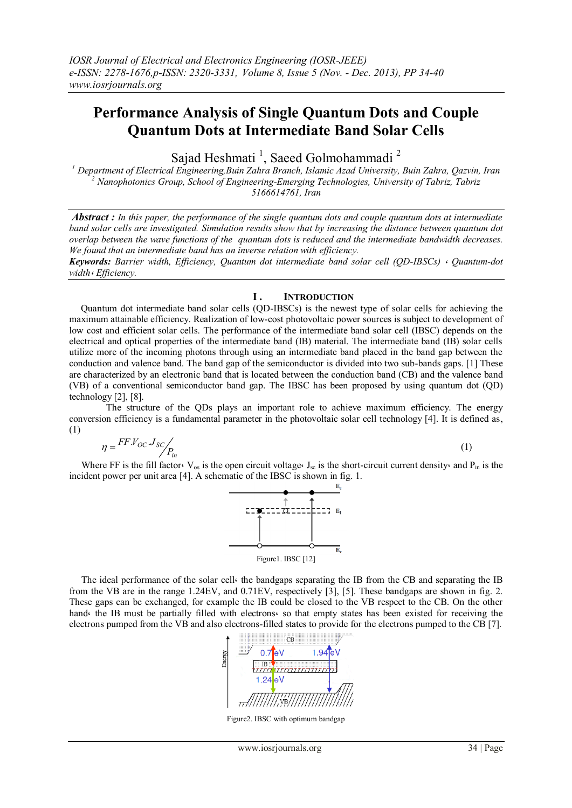# **Performance Analysis of Single Quantum Dots and Couple Quantum Dots at Intermediate Band Solar Cells**

Sajad Heshmati<sup>1</sup>, Saeed Golmohammadi<sup>2</sup>

*<sup>1</sup> Department of Electrical Engineering,Buin Zahra Branch, Islamic Azad University, Buin Zahra, Qazvin, Iran <sup>2</sup> Nanophotonics Group, School of Engineering-Emerging Technologies, University of Tabriz, Tabriz 5166614761, Iran*

*Abstract : In this paper, the performance of the single quantum dots and couple quantum dots at intermediate band solar cells are investigated. Simulation results show that by increasing the distance between quantum dot overlap between the wave functions of the quantum dots is reduced and the intermediate bandwidth decreases. We found that an intermediate band has an inverse relation with efficiency.*

*Keywords: Barrier width, Efficiency, Quantum dot intermediate band solar cell (QD-IBSCs)* ، *Quantum-dot width*، *Efficiency.*

## **I . INTRODUCTION**

 Quantum dot intermediate band solar cells (QD-IBSCs) is the newest type of solar cells for achieving the maximum attainable efficiency. Realization of low-cost photovoltaic power sources is subject to development of low cost and efficient solar cells. The performance of the intermediate band solar cell (IBSC) depends on the electrical and optical properties of the intermediate band (IB) material. The intermediate band (IB) solar cells utilize more of the incoming photons through using an intermediate band placed in the band gap between the conduction and valence band. The band gap of the semiconductor is divided into two sub-bands gaps. [1] These are characterized by an electronic band that is located between the conduction band (CB) and the valence band (VB) of a conventional semiconductor band gap. The IBSC has been proposed by using quantum dot (QD) technology [2], [8].

 The structure of the QDs plays an important role to achieve maximum efficiency. The energy conversion efficiency is a fundamental parameter in the photovoltaic solar cell technology [4]. It is defined as, (1)

$$
\eta = \frac{FFV_{OC}J_{SC}}{P_{in}} \tag{1}
$$

Where FF is the fill factor.  $V_{\text{os}}$  is the open circuit voltage. J<sub>sc</sub> is the short-circuit current density. and P<sub>in</sub> is the incident power per unit area [4]. A schematic of the IBSC is shown in fig. 1.



 The ideal performance of the solar cell، the bandgaps separating the IB from the CB and separating the IB from the VB are in the range 1.24EV, and 0.71EV, respectively [3], [5]. These bandgaps are shown in fig. 2. These gaps can be exchanged, for example the IB could be closed to the VB respect to the CB. On the other hand the IB must be partially filled with electrons so that empty states has been existed for receiving the electrons pumped from the VB and also electrons-filled states to provide for the electrons pumped to the CB [7].



Figure2. IBSC with optimum bandgap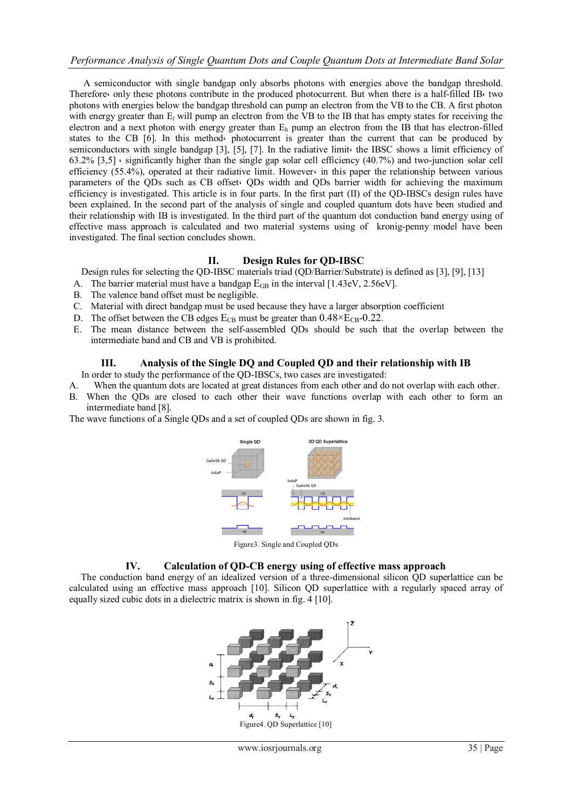A semiconductor with single bandgap only absorbs photons with energies above the bandgap threshold. Therefore، only these photons contribute in the produced photocurrent. But when there is a half-filled IB، two photons with energies below the bandgap threshold can pump an electron from the VB to the CB. A first photon with energy greater than  $E_l$  will pump an electron from the VB to the IB that has empty states for receiving the electron and a next photon with energy greater than  $E_h$  pump an electron from the IB that has electron-filled states to the CB [6]. In this method، photocurrent is greater than the current that can be produced by semiconductors with single bandgap [3], [5], [7]. In the radiative limit the IBSC shows a limit efficiency of 63.2% [3,5]  $\cdot$  significantly higher than the single gap solar cell efficiency (40.7%) and two-junction solar cell efficiency (55.4%), operated at their radiative limit. However، in this paper the relationship between various parameters of the QDs such as CB offset. QDs width and QDs barrier width for achieving the maximum efficiency is investigated. This article is in four parts. In the first part (II) of the QD-IBSCs design rules have been explained. In the second part of the analysis of single and coupled quantum dots have been studied and their relationship with IB is investigated. In the third part of the quantum dot conduction band energy using of effective mass approach is calculated and two material systems using of kronig-penny model have been investigated. The final section concludes shown.

## **II. Design Rules for QD-IBSC**

Design rules for selecting the QD-IBSC materials triad (QD/Barrier/Substrate) is defined as [3], [9], [13]

- A. The barrier material must have a bandgap  $E<sub>GB</sub>$  in the interval [1.43eV, 2.56eV].
- B. The valence band offset must be negligible.
- C. Material with direct bandgap must be used because they have a larger absorption coefficient
- D. The offset between the CB edges  $E_{CB}$  must be greater than  $0.48 \times E_{CB}$ -0.22.
- E. The mean distance between the self-assembled QDs should be such that the overlap between the intermediate band and CB and VB is prohibited.

## **III. Analysis of the Single DQ and Coupled QD and their relationship with IB**

In order to study the performance of the QD-IBSCs, two cases are investigated:

- A. When the quantum dots are located at great distances from each other and do not overlap with each other.
- B. When the QDs are closed to each other their wave functions overlap with each other to form an intermediate band [8].

The wave functions of a Single QDs and a set of coupled QDs are shown in fig. 3.



Figure3. Single and Coupled QDs

## **IV. Calculation of QD-CB energy using of effective mass approach**

 The conduction band energy of an idealized version of a three-dimensional silicon QD superlattice can be calculated using an effective mass approach [10]. Silicon QD superlattice with a regularly spaced array of equally sized cubic dots in a dielectric matrix is shown in fig. 4 [10].

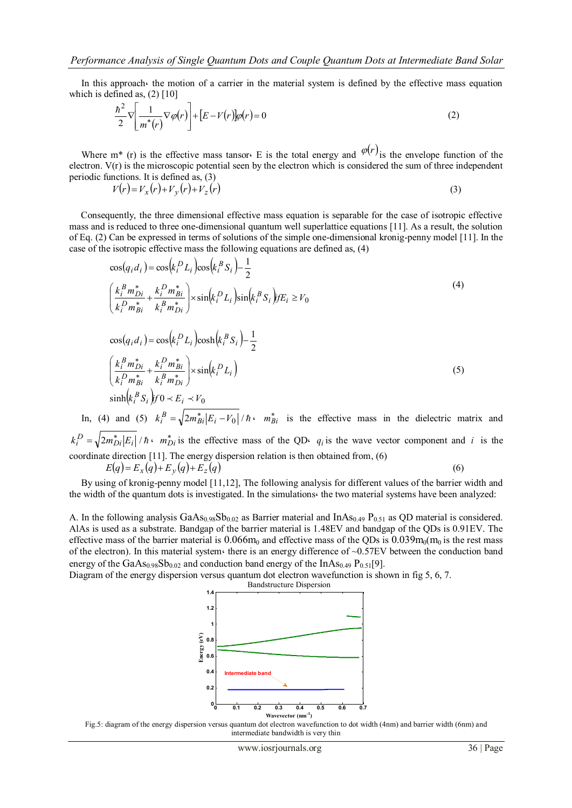In this approach the motion of a carrier in the material system is defined by the effective mass equation which is defined as,  $(2)$  [10]

$$
\frac{\hbar^2}{2}\nabla\left[\frac{1}{m^*(r)}\nabla\varphi(r)\right] + \left[E - V(r)\right]\varphi(r) = 0\tag{2}
$$

Where m<sup>\*</sup> (r) is the effective mass tansor. E is the total energy and  $\varphi(r)$  is the envelope function of the electron. V(r) is the microscopic potential seen by the electron which is considered the sum of three independent periodic functions. It is defined as, (3)

$$
V(r) = V_x(r) + V_y(r) + V_z(r)
$$
\n<sup>(3)</sup>

 Consequently, the three dimensional effective mass equation is separable for the case of isotropic effective mass and is reduced to three one-dimensional quantum well superlattice equations [11]. As a result, the solution of Eq. (2) Can be expressed in terms of solutions of the simple one-dimensional kronig-penny model [11]. In the case of the isotropic effective mass the following equations are defined as, (4)

$$
\cos(q_i d_i) = \cos(k_i^D L_i) \cos(k_i^B S_i) - \frac{1}{2}
$$
\n
$$
\left(\frac{k_i^B m_{Di}^*}{k_i^D m_{Bi}^*} + \frac{k_i^D m_{Bi}^*}{k_i^B m_{Di}^*}\right) \times \sin(k_i^D L_i) \sin(k_i^B S_i) f E_i \ge V_0
$$
\n
$$
\cos(q_i d_i) = \cos(k_i^D L_i) \cosh(k_i^B S_i) - \frac{1}{2}
$$
\n
$$
\left(\frac{k_i^B m_{Di}^*}{k_i^D m_{Bi}^*} + \frac{k_i^D m_{Bi}^*}{k_i^B m_{Di}^*}\right) \times \sin(k_i^D L_i)
$$
\n
$$
\sinh(k_i^B S_i) f 0 \times E_i \times V_0
$$
\n(5)

In, (4) and (5)  $k_i^B = \sqrt{2m_{Bi}^* |E_i - V_0|}/\hbar$ ,  $m_{Bi}^*$  is the effective mass in the dielectric matrix and  $k_i^D = \sqrt{2m_{Di}^*|E_i|}/\hbar$   $m_{Di}^*$  is the effective mass of the QD $\epsilon$   $q_i$  is the wave vector component and *i* is the coordinate direction [11]. The energy dispersion relation is then obtained from, (6)

 $E(q) = E_x(q) + E_y(q) + E_z(q)$ (6)

 By using of kronig-penny model [11,12], The following analysis for different values of the barrier width and the width of the quantum dots is investigated. In the simulations، the two material systems have been analyzed:

A. In the following analysis  $GaAs<sub>0.98</sub>Sb<sub>0.02</sub>$  as Barrier material and  $InAs<sub>0.49</sub> P<sub>0.51</sub>$  as QD material is considered. AlAs is used as a substrate. Bandgap of the barrier material is 1.48EV and bandgap of the QDs is 0.91EV. The effective mass of the barrier material is  $0.066m_0$  and effective mass of the QDs is  $0.039m_0(m_0)$  is the rest mass of the electron). In this material system there is an energy difference of  $\sim 0.57$ EV between the conduction band energy of the  $GaAs<sub>0.98</sub>Sb<sub>0.02</sub>$  and conduction band energy of the InAs<sub>0.49</sub> P<sub>0.51</sub>[9].

Diagram of the energy dispersion versus quantum dot electron wavefunction is shown in fig 5, 6, 7.



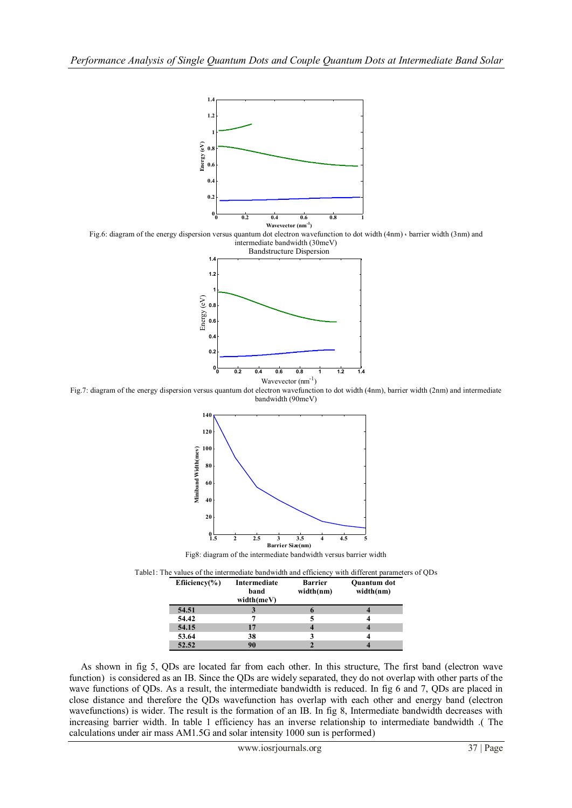

| Efficiency $(\% )$ | Intermediate<br>band<br>width(meV) | <b>Barrier</b><br>width(nm) | Quantum dot<br>width(nm) |
|--------------------|------------------------------------|-----------------------------|--------------------------|
| 54.51              |                                    |                             |                          |
| 54.42              |                                    |                             |                          |
| 54.15              | 17                                 |                             |                          |
| 53.64              | 38                                 |                             |                          |
| 52.52              | 90                                 |                             |                          |

 As shown in fig 5, QDs are located far from each other. In this structure, The first band (electron wave function) is considered as an IB. Since the QDs are widely separated, they do not overlap with other parts of the wave functions of QDs. As a result, the intermediate bandwidth is reduced. In fig 6 and 7, QDs are placed in close distance and therefore the QDs wavefunction has overlap with each other and energy band (electron wavefunctions) is wider. The result is the formation of an IB. In fig 8, Intermediate bandwidth decreases with increasing barrier width. In table 1 efficiency has an inverse relationship to intermediate bandwidth .( The calculations under air mass AM1.5G and solar intensity 1000 sun is performed)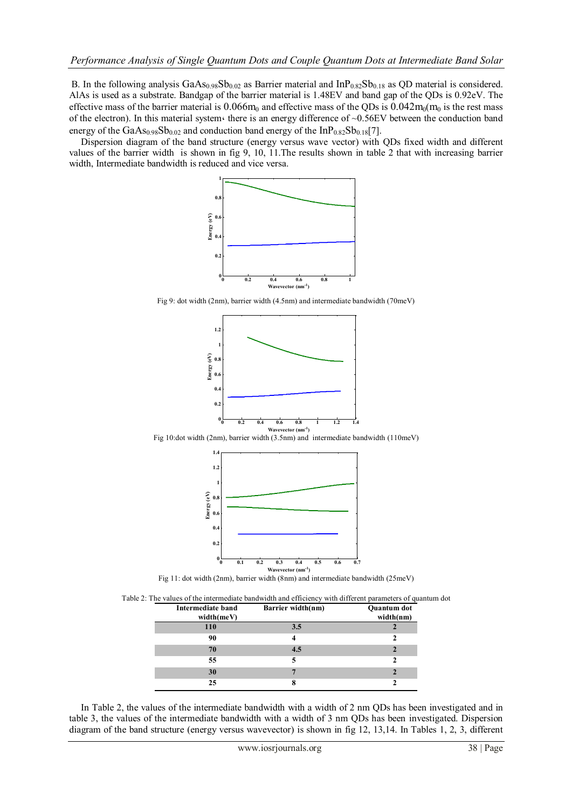B. In the following analysis  $GaAs<sub>0.98</sub>Sb<sub>0.02</sub>$  as Barrier material and  $InP<sub>0.82</sub>Sb<sub>0.18</sub>$  as QD material is considered. AlAs is used as a substrate. Bandgap of the barrier material is 1.48EV and band gap of the QDs is 0.92eV. The effective mass of the barrier material is  $0.066m_0$  and effective mass of the QDs is  $0.042m_0(m_0)$  is the rest mass of the electron). In this material system there is an energy difference of  $\sim 0.56$ EV between the conduction band energy of the GaAs<sub>0.98</sub>Sb<sub>0.02</sub> and conduction band energy of the InP<sub>0.82</sub>Sb<sub>0.18</sub>[7].

 Dispersion diagram of the band structure (energy versus wave vector) with QDs fixed width and different values of the barrier width is shown in fig 9, 10, 11.The results shown in table 2 that with increasing barrier width, Intermediate bandwidth is reduced and vice versa.



Fig 9: dot width (2nm), barrier width (4.5nm) and intermediate bandwidth (70meV)



Fig 10:dot width (2nm), barrier width (3.5nm) and intermediate bandwidth (110meV)



Fig 11: dot width (2nm), barrier width (8nm) and intermediate bandwidth (25meV)

| <b>Intermediate band</b><br>width(meV) | Barrier width(nm) | Quantum dot<br>width(nm) |
|----------------------------------------|-------------------|--------------------------|
| 110                                    | 3.5               |                          |
| 90                                     |                   |                          |
| 70                                     | 4.5               |                          |
| 55                                     |                   |                          |
| 30                                     |                   |                          |
| 25                                     |                   |                          |

 In Table 2, the values of the intermediate bandwidth with a width of 2 nm QDs has been investigated and in table 3, the values of the intermediate bandwidth with a width of 3 nm QDs has been investigated. Dispersion diagram of the band structure (energy versus wavevector) is shown in fig 12, 13,14. In Tables 1, 2, 3, different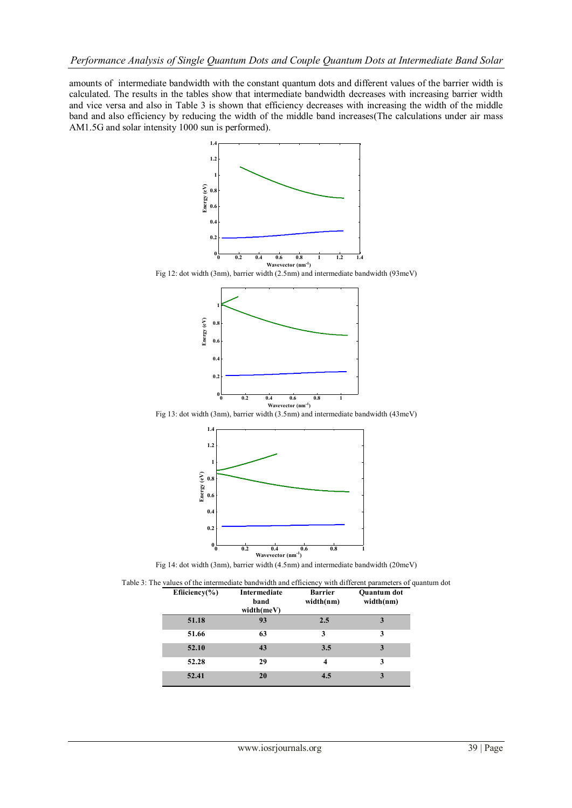amounts of intermediate bandwidth with the constant quantum dots and different values of the barrier width is calculated. The results in the tables show that intermediate bandwidth decreases with increasing barrier width and vice versa and also in Table 3 is shown that efficiency decreases with increasing the width of the middle band and also efficiency by reducing the width of the middle band increases(The calculations under air mass AM1.5G and solar intensity 1000 sun is performed).



Fig 14: dot width (3nm), barrier width (4.5nm) and intermediate bandwidth (20meV)

| Efficiency $(\% )$ | Intermediate<br>band<br>width(meV) | <b>Barrier</b><br>width(nm) | <b>Ouantum</b> dot<br>width(nm) |
|--------------------|------------------------------------|-----------------------------|---------------------------------|
| 51.18              | 93                                 | 2.5                         | 3                               |
| 51.66              | 63                                 | 3                           | 3                               |
| 52.10              | 43                                 | 3.5                         | 3                               |
| 52.28              | 29                                 | $\overline{\mathbf{4}}$     | 3                               |
| 52.41              | 20                                 | 4.5                         | 3                               |

Table 3: The values of the intermediate bandwidth and efficiency with different parameters of quantum dot